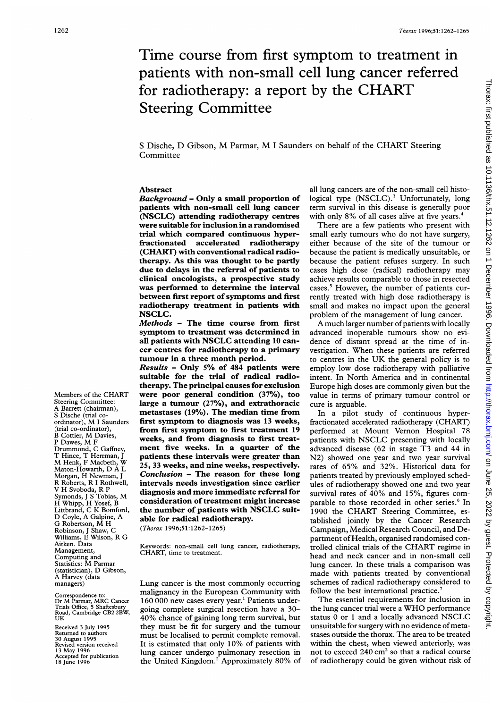# Time course from first symptom to treatment in patients with non-small cell lung cancer referred for radiotherapy: <sup>a</sup> report by the CHART Steering Committee

<sup>S</sup> Dische, D Gibson, M Parmar, M <sup>I</sup> Saunders on behalf of the CHART Steering **Committee** 

## Abstract

Background - Only a small proportion of patients with non-small cell lung cancer (NSCLC) attending radiotherapy centres were suitable for inclusion in a randomised trial which compared continuous hyperfractionated accelerated radiotherapy (CHART) with conventional radical radiotherapy. As this was thought to be partly due to delays in the referral of patients to clinical oncologists, a prospective study was performed to determine the interval between first report of symptoms and first radiotherapy treatment in patients with NSCLC.

Methods - The time course from first symptom to treatment was determined in all patients with NSCLC attending <sup>10</sup> cancer centres for radiotherapy to a primary tumour in a three month period.

Results - Only 5% of 484 patients were suitable for the trial of radical radiotherapy. The principal causes for exclusion were poor general condition (37%), too large a tumour (27%), and extrathoracic metastases (19%). The median time from first symptom to diagnosis was <sup>13</sup> weeks, from first symptom to first treatment 19 weeks, and from diagnosis to first treatment five weeks. In a quarter of the patients these intervals were greater than 25, 33 weeks, and nine weeks, respectively. Conclusion - The reason for these long intervals needs investigation since earlier diagnosis and more immediate referral for consideration of treatment might increase the number of patients with NSCLC suitable for radical radiotherapy.

(Thorax 1996;51:1262-1265)

Keywords: non-small cell lung cancer, radiotherapy, CHART, time to treatment.

Lung cancer is the most commonly occurring malignancy in the European Community with 160 000 new cases every year.' Patients undergoing complete surgical resection have a 30- 40% chance of gaining long term survival, but they must be fit for surgery and the tumour must be localised to permit complete removal. It is estimated that only 10% of patients with lung cancer undergo pulmonary resection in the United Kingdom.<sup>2</sup> Approximately 80% of

all lung cancers are of the non-small cell histological type (NSCLC).<sup>3</sup> Unfortunately, long term survival in this disease is generally poor with only 8% of all cases alive at five years.<sup>4</sup>

There are <sup>a</sup> few patients who present with small early tumours who do not have surgery, either because of the site of the tumour or because the patient is medically unsuitable, or because the patient refuses surgery. In such cases high dose (radical) radiotherapy may achieve results comparable to those in resected cases.5 However, the number of patients currently treated with high dose radiotherapy is small and makes no impact upon the general problem of the management of lung cancer.

A much larger number of patients with locally advanced inoperable tumours show no evidence of distant spread at the time of investigation. When these patients are referred to centres in the UK the general policy is to employ low dose radiotherapy with palliative intent. In North America and in continental Europe high doses are commonly given but the value in terms of primary tumour control or cure is arguable.

In a pilot study of continuous hyperfractionated accelerated radiotherapy (CHART) performed at Mount Vernon Hospital 78 patients with NSCLC presenting with locally advanced disease (62 in stage T3 and 44 in N2) showed one year and two year survival rates of 65% and 32%. Historical data for patients treated by previously employed schedules of radiotherapy showed one and two year survival rates of 40% and 15%, figures comparable to those recorded in other series.<sup>6</sup> In <sup>1990</sup> the CHART Steering Committee, established jointly by the Cancer Research Campaign, Medical Research Council, and Department of Health, organised randomised controlled clinical trials of the CHART regime in head and neck cancer and in non-small cell lung cancer. In these trials a comparison was made with patients treated by conventional schemes of radical radiotherapy considered to follow the best international practice.<sup>7</sup>

The essential requirements for inclusion in the lung cancer trial were <sup>a</sup> WHO performance status <sup>0</sup> or <sup>1</sup> and <sup>a</sup> locally advanced NSCLC unsuitable for surgery with no evidence ofmetastases outside the thorax. The area to be treated within the chest, when viewed anteriorly, was not to exceed  $240 \text{ cm}^2$  so that a radical course of radiotherapy could be given without risk of

Members of the CHART Steering Committee: A Barrett (chairman), S Dische (trial coordinator), M <sup>I</sup> Saunders (trial co-ordinator), <sup>B</sup> Cottier, M Davies, <sup>P</sup> Dawes, M <sup>F</sup> Drummond, C Gaffney, T Hince, T Herrman, <sup>J</sup> M Henk, <sup>F</sup> Macbeth, W Maton-Howarth, D A L Morgan, H Newman, <sup>J</sup> R Roberts, R <sup>I</sup> Rothwell, V H Svoboda, R P Symonds, <sup>J</sup> <sup>S</sup> Tobias, M H Whipp, H Yosef, B Littbrand, C K Bomford, D Coyle, A Galpine, A G Robertson, M H Robinson, <sup>J</sup> Shaw, C Williams, E Wilson, R G Aitken. Data Management, Computing and Statistics: M Parmar (statistician), D Gibson, A Harvey (data managers)

Correspondence to: Dr M Parmar, MRC Cancer Trials Office, 5 Shaftesbury Road, Cambridge CB2 2BW, īñ

Received 3 July 1995 Returned to authors 30 August 1995 Revised version received 13 May 1996 Accepted for publication 18 June 1996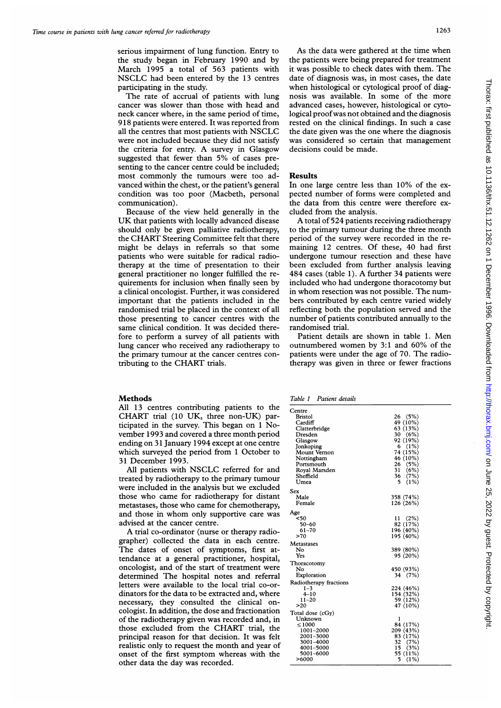serious impairment of lung function. Entry to the study began in February 1990 and by March 1995 a total of 563 patients with NSCLC had been entered by the <sup>13</sup> centres participating in the study.

The rate of accrual of patients with lung cancer was slower than those with head and neck cancer where, in the same period of time, 918 patients were entered. It was reported from all the centres that most patients with NSCLC were not included because they did not satisfy the criteria for entry. A survey in Glasgow suggested that fewer than 5% of cases presenting to the cancer centre could be included; most commonly the tumours were too advanced within the chest, or the patient's general condition was too poor (Macbeth, personal communication).

Because of the view held generally in the UK that patients with locally advanced disease should only be given palliative radiotherapy, the CHART Steering Committee felt that there might be delays in referrals so that some patients who were suitable for radical radiotherapy at the time of presentation to their general practitioner no longer fulfilled the requirements for inclusion when finally seen by a clinical oncologist. Further, it was considered important that the patients included in the randomised trial be placed in the context of all those presenting to cancer centres with the same clinical condition. It was decided therefore to perform a survey of all patients with lung cancer who received any radiotherapy to the primary tumour at the cancer centres contributing to the CHART trials.

## Methods

All 13 centres contributing patients to the CHART trial (10 UK, three non-UK) participated in the survey. This began on <sup>1</sup> November 1993 and covered a three month period ending on 31 January 1994 except at one centre which surveyed the period from <sup>1</sup> October to 31 December 1993.

All patients with NSCLC referred for and treated by radiotherapy to the primary tumour were included in the analysis but we excluded those who came for radiotherapy for distant metastases, those who came for chemotherapy, and those in whom only supportive care was advised at the cancer centre.

A trial co-ordinator (nurse or therapy radiographer) collected the data in each centre. The dates of onset of symptoms, first attendance at a general practitioner, hospital, oncologist, and of the start of treatment were determined The hospital notes and referral letters were available to the local trial co-ordinators for the data to be extracted and, where necessary, they consulted the clinical oncologist. In addition, the dose and fractionation of the radiotherapy given was recorded and, in those excluded from the CHART trial, the principal reason for that decision. It was felt realistic only to request the month and year of onset of the first symptom whereas with the other data the day was recorded.

As the data were gathered at the time when the patients were being prepared for treatment it was possible to check dates with them. The date of diagnosis was, in most cases, the date when histological or cytological proof of diagnosis was available. In some of the more advanced cases, however, histological or cytological proof was not obtained and the diagnosis rested on the clinical findings. In such a case the date given was the one where the diagnosis was considered so certain that management decisions could be made.

### Results

In one large centre less than 10% of the expected number of forms were completed and the data from this centre were therefore excluded from the analysis.

A total of 524 patients receiving radiotherapy to the primary tumour during the three month period of the survey were recorded in the remaining 12 centres. Of these, 40 had first undergone tumour resection and these have been excluded from further analysis leaving 484 cases (table 1). A further 34 patients were included who had undergone thoracotomy but in whom resection was not possible. The numbers contributed by each centre varied widely reflecting both the population served and the number of patients contributed annually to the randomised trial.

Patient details are shown in table 1. Men outnumbered women by 3:1 and 60% of the patients were under the age of 70. The radiotherapy was given in three or fewer fractions

Table <sup>1</sup> Patient details

| Centre                 |               |
|------------------------|---------------|
| Bristol                | (5%)<br>26    |
| Cardiff                | 49 (10%)      |
| Clatterbridge          | 63 (13%)      |
| Dresden                | 30 (6%)       |
| Glasgow                | 92 (19%)      |
| Jonkoping              | 6(1%)         |
| Mount Vernon           | 74 (15%)      |
|                        |               |
| Nottingham             | 46 (10%)      |
| Portsmouth             | 26 (5%)       |
| Royal Marsden          | 31<br>(6%)    |
| Sheffield              | (7%)<br>36    |
| Umea                   | 5.<br>$(1\%)$ |
| Sex                    |               |
| Male                   | 358 (74%)     |
| Female                 | 126 (26%)     |
|                        |               |
| Age                    |               |
| $50$                   | 11(2%)        |
| 50-60                  | 82 (17%)      |
| $61 - 70$              | 196 (40%)     |
| >70                    | 195 (40%)     |
| Metastases             |               |
| N٥                     | 389 (80%)     |
| Yes                    | 95 (20%)      |
| Thoracotomy            |               |
| No                     | 450 (93%)     |
| Exploration            | 34 (7%)       |
|                        |               |
| Radiotherapy fractions |               |
| 1–3                    | 224 (46%)     |
| $4 - 10$               | 154 (32%)     |
| 11–20                  | 59 (12%)      |
| >20                    | 47 (10%)      |
| Total dose (cGy)       |               |
| Unknown                | ı             |
| < 1000                 | 84 (17%)      |
| 1001-2000              | 209 (43%)     |
| 2001-3000              | 83 (17%)      |
| 3001–4000              | 32 (7%)       |
| 4001-5000              | 15(3%)        |
| 5001-6000              | 55 (11%)      |
| >6000                  | (1%)<br>5     |
|                        |               |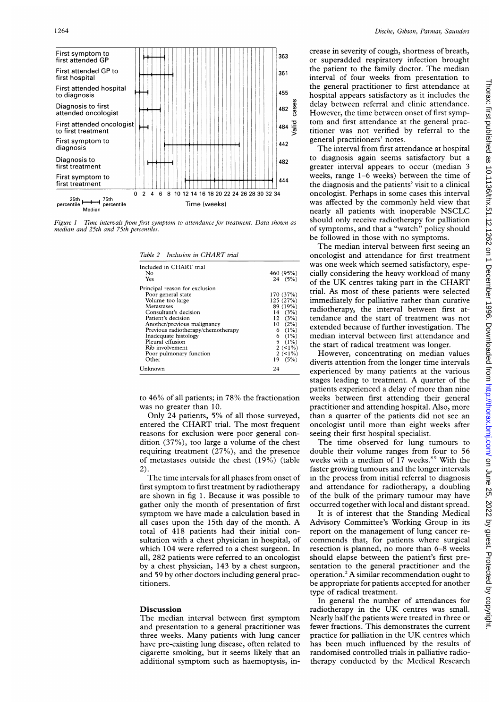

Figure <sup>I</sup> Time intervals from first symptonm to attendance for treatment. Data shown as median and 25th and 75th percentiles.

| Table 2 Inclusion in CHART trial   |           |  |
|------------------------------------|-----------|--|
| Included in CHART trial            |           |  |
| Nο                                 | 460 (95%) |  |
| Yes                                | 24(5%)    |  |
| Principal reason for exclusion     |           |  |
| Poor general state                 | 170 (37%) |  |
| Volume too large                   | 125 (27%) |  |
| Metastases                         | 89 (19%)  |  |
| Consultant's decision              | 14(3%)    |  |
| Patient's decision                 | 12(3%)    |  |
| Another/previous malignancy        | $10(2\%)$ |  |
| Previous radiotherapy/chemotherapy | 6 $(1%)$  |  |
| Inadequate histology               | $6(1\%)$  |  |
| Pleural effusion                   | $5(1\%)$  |  |
| Rib involvement                    | $2 (-1%)$ |  |
| Poor pulmonary function            | $2(1\%)$  |  |

to 46% of all patients; in 78% the fractionation was no greater than 10.

Poor pulmonary function  $2 \le 1\%$ <br>Other 19 (5%) Other 19 (5%) Unknown 24

Only 24 patients, 5% of all those surveyed, entered the CHART trial. The most frequent reasons for exclusion were poor general condition (37%), too large a volume of the chest requiring treatment (27%), and the presence of metastases outside the chest (19%) (table 2).

The time intervals for all phases from onset of first symptom to first treatment by radiotherapy are shown in fig 1. Because it was possible to gather only the month of presentation of first symptom we have made <sup>a</sup> calculation based in all cases upon the 15th day of the month. A total of 418 patients had their initial consultation with a chest physician in hospital, of which 104 were referred to a chest surgeon. In all, 282 patients were referred to an oncologist by a chest physician, 143 by a chest surgeon, and 59 by other doctors including general practitioners.

### Discussion

The median interval between first symptom and presentation to a general practitioner was three weeks. Many patients with lung cancer have pre-existing lung disease, often related to cigarette smoking, but it seems likely that an additional symptom such as haemoptysis, increase in severity of cough, shortness of breath, or superadded respiratory infection brought the patient to the family doctor. The median interval of four weeks from presentation to the general practitioner to first attendance at hospital appears satisfactory as it includes the delay between referral and clinic attendance. However, the time between onset of first symptom and first attendance at the general practitioner was not verified by referral to the general practitioners' notes.

The interval from first attendance at hospital to diagnosis again seems satisfactory but a greater interval appears to occur (median 3 weeks, range 1-6 weeks) between the time of the diagnosis and the patients' visit to a clinical oncologist. Perhaps in some cases this interval was affected by the commonly held view that nearly all patients with inoperable NSCLC should only receive radiotherapy for palliation of symptoms, and that a "watch" policy should be followed in those with no symptoms.

The median interval between first seeing an oncologist and attendance for first treatment was one week which seemed satisfactory, especially considering the heavy workload of many of the UK centres taking part in the CHART trial. As most of these patients were selected immediately for palliative rather than curative radiotherapy, the interval between first attendance and the start of treatment was not extended because of further investigation. The median interval between first attendance and the start of radical treatment was longer.

However, concentrating on median values diverts attention from the longer time intervals experienced by many patients at the various stages leading to treatment. A quarter of the patients experienced a delay of more than nine weeks between first attending their general practitioner and attending hospital. Also, more than a quarter of the patients did not see an oncologist until more than eight weeks after seeing their first hospital specialist.

The time observed for lung tumours to double their volume ranges from four to 56 weeks with a median of 17 weeks.<sup>89</sup> With the faster growing tumours and the longer intervals in the process from initial referral to diagnosis and attendance for radiotherapy, a doubling of the bulk of the primary tumour may have occurred together with local and distant spread.

It is of interest that the Standing Medical Advisory Committee's Working Group in its report on the management of lung cancer recommends that, for patients where surgical resection is planned, no more than 6-8 weeks should elapse between the patient's first presentation to the general practitioner and the operation.' A similar recommendation ought to be appropriate for patients accepted for another type of radical treatment.

In general the number of attendances for radiotherapy in the UK centres was small. Nearly half the patients were treated in three or fewer fractions. This demonstrates the current practice for palliation in the UK centres which has been much influenced by the results of randomised controlled trials in palliative radiotherapy conducted by the Medical Research